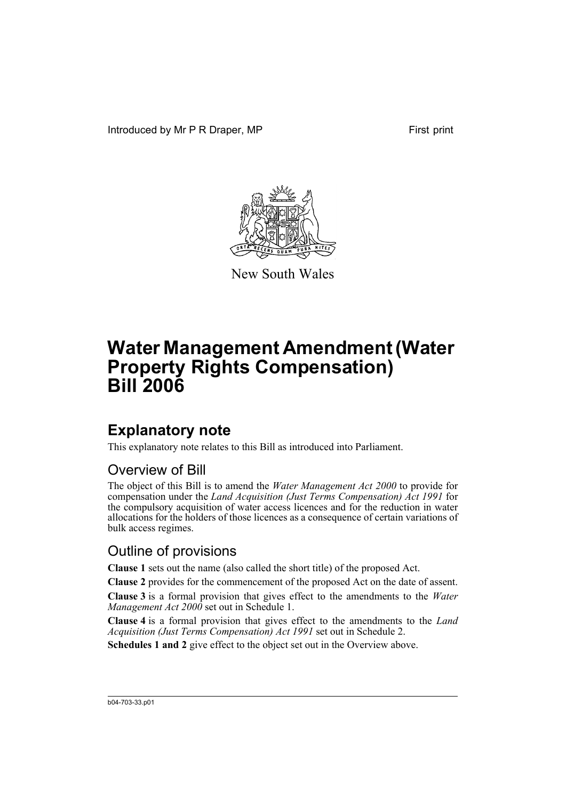Introduced by Mr P R Draper, MP First print



New South Wales

# **Water Management Amendment (Water Property Rights Compensation) Bill 2006**

## **Explanatory note**

This explanatory note relates to this Bill as introduced into Parliament.

### Overview of Bill

The object of this Bill is to amend the *Water Management Act 2000* to provide for compensation under the *Land Acquisition (Just Terms Compensation) Act 1991* for the compulsory acquisition of water access licences and for the reduction in water allocations for the holders of those licences as a consequence of certain variations of bulk access regimes.

### Outline of provisions

**Clause 1** sets out the name (also called the short title) of the proposed Act.

**Clause 2** provides for the commencement of the proposed Act on the date of assent.

**Clause 3** is a formal provision that gives effect to the amendments to the *Water Management Act 2000* set out in Schedule 1.

**Clause 4** is a formal provision that gives effect to the amendments to the *Land Acquisition (Just Terms Compensation) Act 1991* set out in Schedule 2.

**Schedules 1 and 2** give effect to the object set out in the Overview above.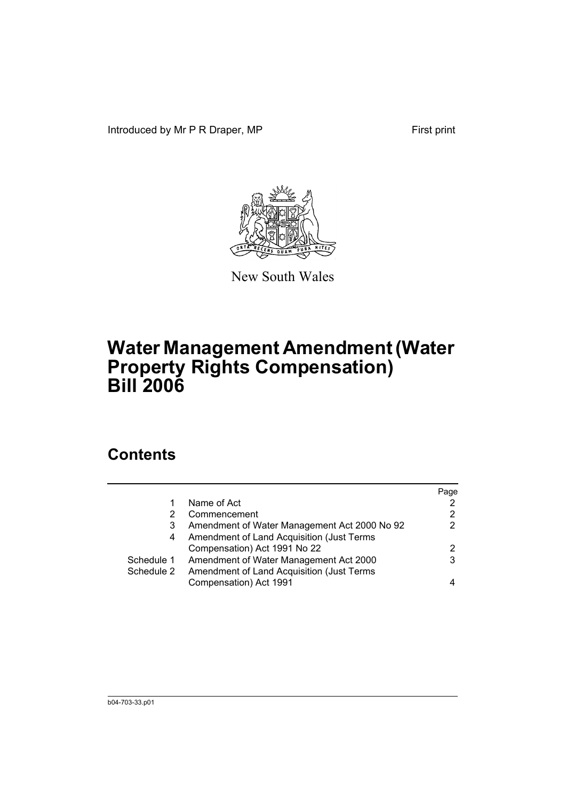Introduced by Mr P R Draper, MP First print



New South Wales

# **Water Management Amendment (Water Property Rights Compensation) Bill 2006**

### **Contents**

|            |                                              | Page |
|------------|----------------------------------------------|------|
|            | Name of Act                                  |      |
|            | Commencement                                 | 2    |
| 3          | Amendment of Water Management Act 2000 No 92 |      |
| 4          | Amendment of Land Acquisition (Just Terms    |      |
|            | Compensation) Act 1991 No 22                 | 2    |
| Schedule 1 | Amendment of Water Management Act 2000       | 3    |
| Schedule 2 | Amendment of Land Acquisition (Just Terms    |      |
|            | Compensation) Act 1991                       |      |
|            |                                              |      |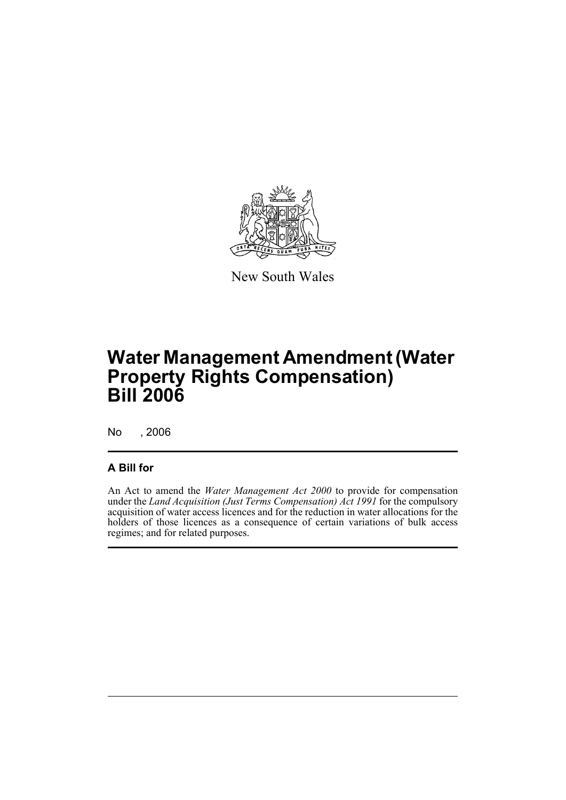

New South Wales

# **Water Management Amendment (Water Property Rights Compensation) Bill 2006**

No , 2006

#### **A Bill for**

An Act to amend the *Water Management Act 2000* to provide for compensation under the *Land Acquisition (Just Terms Compensation) Act 1991* for the compulsory acquisition of water access licences and for the reduction in water allocations for the holders of those licences as a consequence of certain variations of bulk access regimes; and for related purposes.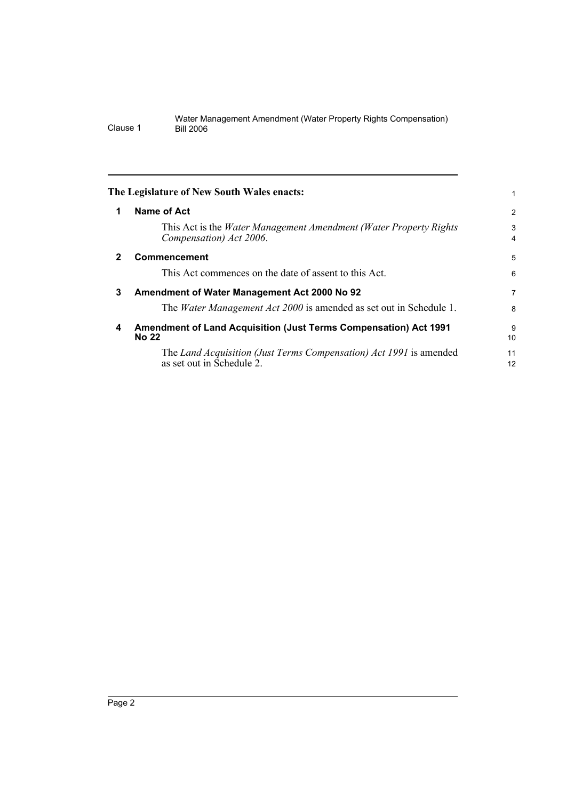#### Water Management Amendment (Water Property Rights Compensation) Clause 1 Bill 2006

<span id="page-5-3"></span><span id="page-5-2"></span><span id="page-5-1"></span><span id="page-5-0"></span>

|              | The Legislature of New South Wales enacts:                                                            |                     |  |
|--------------|-------------------------------------------------------------------------------------------------------|---------------------|--|
| 1            | Name of Act                                                                                           | $\overline{2}$      |  |
|              | This Act is the <i>Water Management Amendment (Water Property Rights</i> )<br>Compensation) Act 2006. | 3<br>$\overline{4}$ |  |
| $\mathbf{2}$ | <b>Commencement</b>                                                                                   | 5                   |  |
|              | This Act commences on the date of assent to this Act.                                                 | 6                   |  |
| 3            | Amendment of Water Management Act 2000 No 92                                                          |                     |  |
|              | The <i>Water Management Act 2000</i> is amended as set out in Schedule 1.                             | 8                   |  |
| 4            | Amendment of Land Acquisition (Just Terms Compensation) Act 1991<br>No 22                             | 9<br>10             |  |
|              | The Land Acquisition (Just Terms Compensation) Act 1991 is amended<br>as set out in Schedule 2.       | 11<br>12            |  |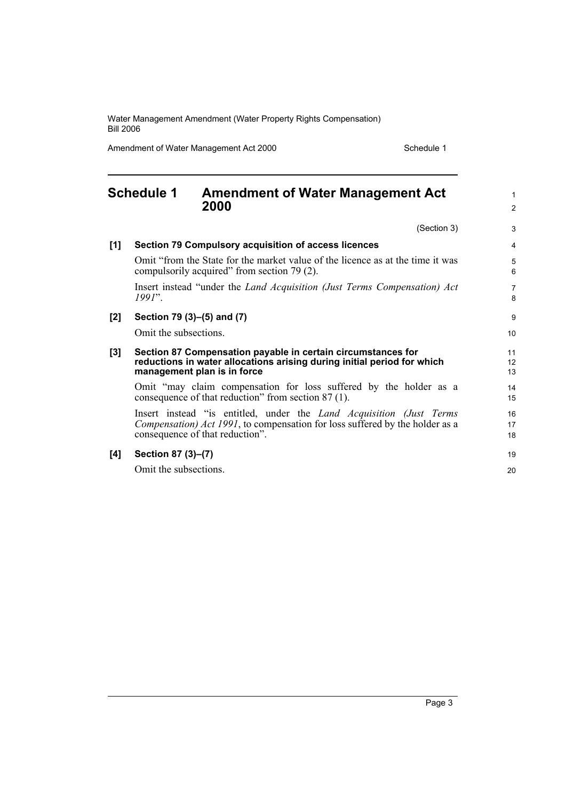Water Management Amendment (Water Property Rights Compensation) Bill 2006

Amendment of Water Management Act 2000 Schedule 1

#### <span id="page-6-0"></span>**Schedule 1 Amendment of Water Management Act 2000** (Section 3) **[1] Section 79 Compulsory acquisition of access licences** Omit "from the State for the market value of the licence as at the time it was compulsorily acquired" from section 79 (2). Insert instead "under the *Land Acquisition (Just Terms Compensation) Act 1991*". **[2] Section 79 (3)–(5) and (7)** Omit the subsections. **[3] Section 87 Compensation payable in certain circumstances for reductions in water allocations arising during initial period for which management plan is in force** Omit "may claim compensation for loss suffered by the holder as a consequence of that reduction" from section 87 (1). Insert instead "is entitled, under the *Land Acquisition (Just Terms Compensation) Act 1991*, to compensation for loss suffered by the holder as a consequence of that reduction". **[4] Section 87 (3)–(7)** Omit the subsections. 1 2 3 4 5 6 7 8 9 10 11 12 13 14 15 16 17 18 19 20